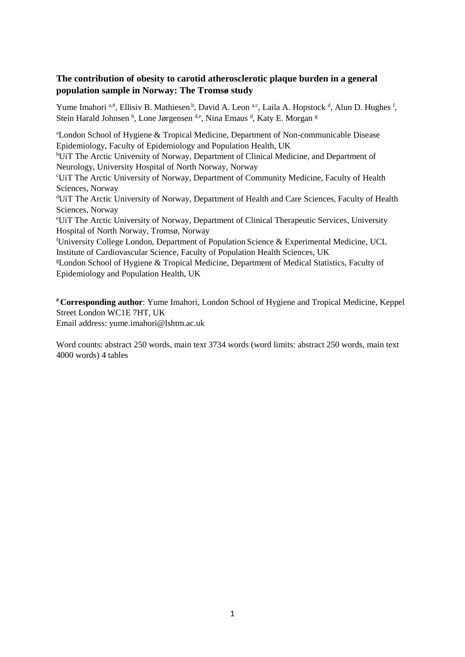# **The contribution of obesity to carotid atherosclerotic plaque burden in a general population sample in Norway: The Tromsø study**

Yume Imahori a,#, Ellisiv B. Mathiesen b, David A. Leon a,c, Laila A. Hopstock d, Alun D. Hughes f, Stein Harald Johnsen <sup>b</sup>, Lone Jørgensen <sup>d,e</sup>, Nina Emaus <sup>d</sup>, Katy E. Morgan <sup>g</sup>

<sup>a</sup>London School of Hygiene & Tropical Medicine, Department of Non-communicable Disease Epidemiology, Faculty of Epidemiology and Population Health, UK

bUiT The Arctic University of Norway, Department of Clinical Medicine, and Department of Neurology, University Hospital of North Norway, Norway

<sup>c</sup>UiT The Arctic University of Norway, Department of Community Medicine, Faculty of Health Sciences, Norway

<sup>d</sup>UiT The Arctic University of Norway, Department of Health and Care Sciences, Faculty of Health Sciences, Norway

<sup>e</sup>UiT The Arctic University of Norway, Department of Clinical Therapeutic Services, University Hospital of North Norway, Tromsø, Norway

<sup>f</sup>University College London, Department of Population Science & Experimental Medicine, UCL Institute of Cardiovascular Science, Faculty of Population Health Sciences, UK

<sup>g</sup>London School of Hygiene & Tropical Medicine, Department of Medical Statistics, Faculty of Epidemiology and Population Health, UK

**# Corresponding author**: Yume Imahori, London School of Hygiene and Tropical Medicine, Keppel Street London WC1E 7HT, UK

Email address: yume.imahori@lshtm.ac.uk

Word counts: abstract 250 words, main text 3734 words (word limits: abstract 250 words, main text 4000 words) 4 tables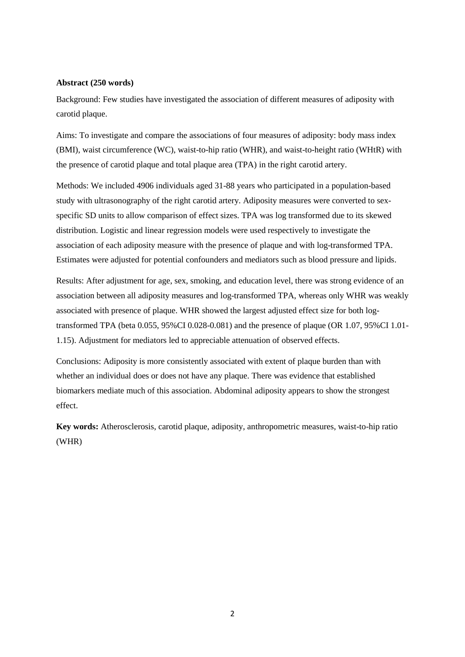#### **Abstract (250 words)**

Background: Few studies have investigated the association of different measures of adiposity with carotid plaque.

Aims: To investigate and compare the associations of four measures of adiposity: body mass index (BMI), waist circumference (WC), waist-to-hip ratio (WHR), and waist-to-height ratio (WHtR) with the presence of carotid plaque and total plaque area (TPA) in the right carotid artery.

Methods: We included 4906 individuals aged 31-88 years who participated in a population-based study with ultrasonography of the right carotid artery. Adiposity measures were converted to sexspecific SD units to allow comparison of effect sizes. TPA was log transformed due to its skewed distribution. Logistic and linear regression models were used respectively to investigate the association of each adiposity measure with the presence of plaque and with log-transformed TPA. Estimates were adjusted for potential confounders and mediators such as blood pressure and lipids.

Results: After adjustment for age, sex, smoking, and education level, there was strong evidence of an association between all adiposity measures and log-transformed TPA, whereas only WHR was weakly associated with presence of plaque. WHR showed the largest adjusted effect size for both logtransformed TPA (beta 0.055, 95%CI 0.028-0.081) and the presence of plaque (OR 1.07, 95%CI 1.01- 1.15). Adjustment for mediators led to appreciable attenuation of observed effects.

Conclusions: Adiposity is more consistently associated with extent of plaque burden than with whether an individual does or does not have any plaque. There was evidence that established biomarkers mediate much of this association. Abdominal adiposity appears to show the strongest effect.

**Key words:** Atherosclerosis, carotid plaque, adiposity, anthropometric measures, waist-to-hip ratio (WHR)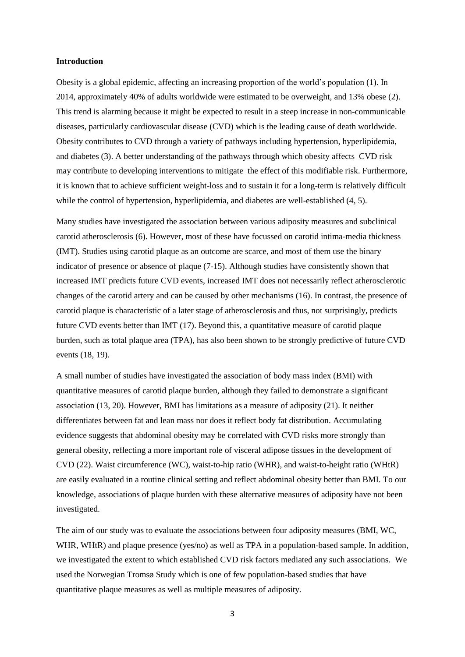#### **Introduction**

Obesity is a global epidemic, affecting an increasing proportion of the world's population (1). In 2014, approximately 40% of adults worldwide were estimated to be overweight, and 13% obese (2). This trend is alarming because it might be expected to result in a steep increase in non-communicable diseases, particularly cardiovascular disease (CVD) which is the leading cause of death worldwide. Obesity contributes to CVD through a variety of pathways including hypertension, hyperlipidemia, and diabetes (3). A better understanding of the pathways through which obesity affects CVD risk may contribute to developing interventions to mitigate the effect of this modifiable risk. Furthermore, it is known that to achieve sufficient weight-loss and to sustain it for a long-term is relatively difficult while the control of hypertension, hyperlipidemia, and diabetes are well-established (4, 5).

Many studies have investigated the association between various adiposity measures and subclinical carotid atherosclerosis (6). However, most of these have focussed on carotid intima-media thickness (IMT). Studies using carotid plaque as an outcome are scarce, and most of them use the binary indicator of presence or absence of plaque (7-15). Although studies have consistently shown that increased IMT predicts future CVD events, increased IMT does not necessarily reflect atherosclerotic changes of the carotid artery and can be caused by other mechanisms (16). In contrast, the presence of carotid plaque is characteristic of a later stage of atherosclerosis and thus, not surprisingly, predicts future CVD events better than IMT (17). Beyond this, a quantitative measure of carotid plaque burden, such as total plaque area (TPA), has also been shown to be strongly predictive of future CVD events (18, 19).

A small number of studies have investigated the association of body mass index (BMI) with quantitative measures of carotid plaque burden, although they failed to demonstrate a significant association (13, 20). However, BMI has limitations as a measure of adiposity (21). It neither differentiates between fat and lean mass nor does it reflect body fat distribution. Accumulating evidence suggests that abdominal obesity may be correlated with CVD risks more strongly than general obesity, reflecting a more important role of visceral adipose tissues in the development of CVD (22). Waist circumference (WC), waist-to-hip ratio (WHR), and waist-to-height ratio (WHtR) are easily evaluated in a routine clinical setting and reflect abdominal obesity better than BMI. To our knowledge, associations of plaque burden with these alternative measures of adiposity have not been investigated.

The aim of our study was to evaluate the associations between four adiposity measures (BMI, WC, WHR, WHtR) and plaque presence (yes/no) as well as TPA in a population-based sample. In addition, we investigated the extent to which established CVD risk factors mediated any such associations. We used the Norwegian Tromsø Study which is one of few population-based studies that have quantitative plaque measures as well as multiple measures of adiposity.

3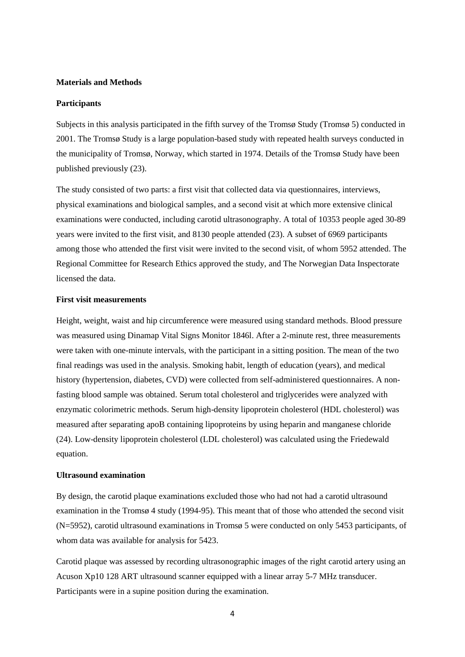## **Materials and Methods**

#### **Participants**

Subjects in this analysis participated in the fifth survey of the Tromsø Study (Tromsø 5) conducted in 2001. The Tromsø Study is a large population-based study with repeated health surveys conducted in the municipality of Tromsø, Norway, which started in 1974. Details of the Tromsø Study have been published previously (23).

The study consisted of two parts: a first visit that collected data via questionnaires, interviews, physical examinations and biological samples, and a second visit at which more extensive clinical examinations were conducted, including carotid ultrasonography. A total of 10353 people aged 30-89 years were invited to the first visit, and 8130 people attended (23). A subset of 6969 participants among those who attended the first visit were invited to the second visit, of whom 5952 attended. The Regional Committee for Research Ethics approved the study, and The Norwegian Data Inspectorate licensed the data.

#### **First visit measurements**

Height, weight, waist and hip circumference were measured using standard methods. Blood pressure was measured using Dinamap Vital Signs Monitor 1846l. After a 2-minute rest, three measurements were taken with one-minute intervals, with the participant in a sitting position. The mean of the two final readings was used in the analysis. Smoking habit, length of education (years), and medical history (hypertension, diabetes, CVD) were collected from self-administered questionnaires. A nonfasting blood sample was obtained. Serum total cholesterol and triglycerides were analyzed with enzymatic colorimetric methods. Serum high-density lipoprotein cholesterol (HDL cholesterol) was measured after separating apoB containing lipoproteins by using heparin and manganese chloride (24). Low-density lipoprotein cholesterol (LDL cholesterol) was calculated using the Friedewald equation.

# **Ultrasound examination**

By design, the carotid plaque examinations excluded those who had not had a carotid ultrasound examination in the Tromsø 4 study (1994-95). This meant that of those who attended the second visit (N=5952), carotid ultrasound examinations in Tromsø 5 were conducted on only 5453 participants, of whom data was available for analysis for 5423.

Carotid plaque was assessed by recording ultrasonographic images of the right carotid artery using an Acuson Xp10 128 ART ultrasound scanner equipped with a linear array 5-7 MHz transducer. Participants were in a supine position during the examination.

4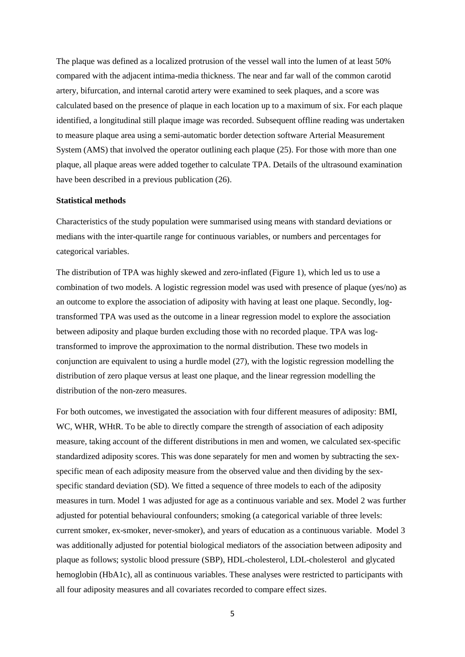The plaque was defined as a localized protrusion of the vessel wall into the lumen of at least 50% compared with the adjacent intima-media thickness. The near and far wall of the common carotid artery, bifurcation, and internal carotid artery were examined to seek plaques, and a score was calculated based on the presence of plaque in each location up to a maximum of six. For each plaque identified, a longitudinal still plaque image was recorded. Subsequent offline reading was undertaken to measure plaque area using a semi-automatic border detection software Arterial Measurement System (AMS) that involved the operator outlining each plaque (25). For those with more than one plaque, all plaque areas were added together to calculate TPA. Details of the ultrasound examination have been described in a previous publication (26).

# **Statistical methods**

Characteristics of the study population were summarised using means with standard deviations or medians with the inter-quartile range for continuous variables, or numbers and percentages for categorical variables.

The distribution of TPA was highly skewed and zero-inflated (Figure 1), which led us to use a combination of two models. A logistic regression model was used with presence of plaque (yes/no) as an outcome to explore the association of adiposity with having at least one plaque. Secondly, logtransformed TPA was used as the outcome in a linear regression model to explore the association between adiposity and plaque burden excluding those with no recorded plaque. TPA was logtransformed to improve the approximation to the normal distribution. These two models in conjunction are equivalent to using a hurdle model (27), with the logistic regression modelling the distribution of zero plaque versus at least one plaque, and the linear regression modelling the distribution of the non-zero measures.

For both outcomes, we investigated the association with four different measures of adiposity: BMI, WC, WHR, WHtR. To be able to directly compare the strength of association of each adiposity measure, taking account of the different distributions in men and women, we calculated sex-specific standardized adiposity scores. This was done separately for men and women by subtracting the sexspecific mean of each adiposity measure from the observed value and then dividing by the sexspecific standard deviation (SD). We fitted a sequence of three models to each of the adiposity measures in turn. Model 1 was adjusted for age as a continuous variable and sex. Model 2 was further adjusted for potential behavioural confounders; smoking (a categorical variable of three levels: current smoker, ex-smoker, never-smoker), and years of education as a continuous variable. Model 3 was additionally adjusted for potential biological mediators of the association between adiposity and plaque as follows; systolic blood pressure (SBP), HDL-cholesterol, LDL-cholesterol and glycated hemoglobin (HbA1c), all as continuous variables. These analyses were restricted to participants with all four adiposity measures and all covariates recorded to compare effect sizes.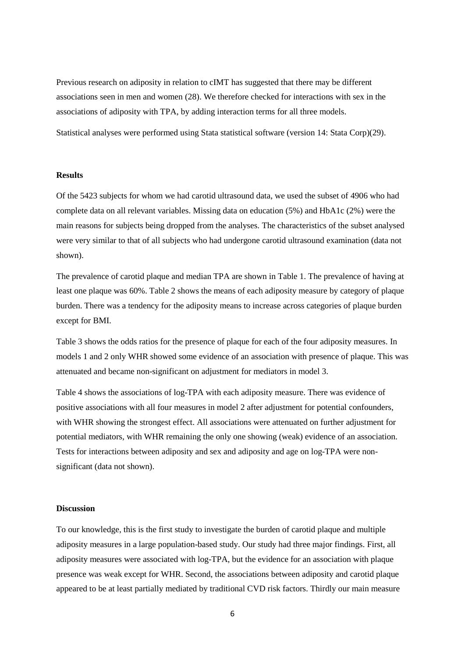Previous research on adiposity in relation to cIMT has suggested that there may be different associations seen in men and women (28). We therefore checked for interactions with sex in the associations of adiposity with TPA, by adding interaction terms for all three models.

Statistical analyses were performed using Stata statistical software (version 14: Stata Corp)(29).

#### **Results**

Of the 5423 subjects for whom we had carotid ultrasound data, we used the subset of 4906 who had complete data on all relevant variables. Missing data on education (5%) and HbA1c (2%) were the main reasons for subjects being dropped from the analyses. The characteristics of the subset analysed were very similar to that of all subjects who had undergone carotid ultrasound examination (data not shown).

The prevalence of carotid plaque and median TPA are shown in Table 1. The prevalence of having at least one plaque was 60%. Table 2 shows the means of each adiposity measure by category of plaque burden. There was a tendency for the adiposity means to increase across categories of plaque burden except for BMI.

Table 3 shows the odds ratios for the presence of plaque for each of the four adiposity measures. In models 1 and 2 only WHR showed some evidence of an association with presence of plaque. This was attenuated and became non-significant on adjustment for mediators in model 3.

Table 4 shows the associations of log-TPA with each adiposity measure. There was evidence of positive associations with all four measures in model 2 after adjustment for potential confounders, with WHR showing the strongest effect. All associations were attenuated on further adjustment for potential mediators, with WHR remaining the only one showing (weak) evidence of an association. Tests for interactions between adiposity and sex and adiposity and age on log-TPA were nonsignificant (data not shown).

### **Discussion**

To our knowledge, this is the first study to investigate the burden of carotid plaque and multiple adiposity measures in a large population-based study. Our study had three major findings. First, all adiposity measures were associated with log-TPA, but the evidence for an association with plaque presence was weak except for WHR. Second, the associations between adiposity and carotid plaque appeared to be at least partially mediated by traditional CVD risk factors. Thirdly our main measure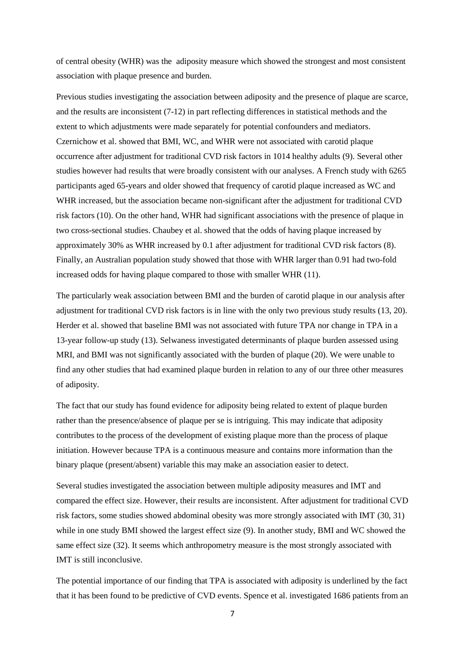of central obesity (WHR) was the adiposity measure which showed the strongest and most consistent association with plaque presence and burden.

Previous studies investigating the association between adiposity and the presence of plaque are scarce, and the results are inconsistent (7-12) in part reflecting differences in statistical methods and the extent to which adjustments were made separately for potential confounders and mediators. Czernichow et al. showed that BMI, WC, and WHR were not associated with carotid plaque occurrence after adjustment for traditional CVD risk factors in 1014 healthy adults (9). Several other studies however had results that were broadly consistent with our analyses. A French study with 6265 participants aged 65-years and older showed that frequency of carotid plaque increased as WC and WHR increased, but the association became non-significant after the adjustment for traditional CVD risk factors (10). On the other hand, WHR had significant associations with the presence of plaque in two cross-sectional studies. Chaubey et al. showed that the odds of having plaque increased by approximately 30% as WHR increased by 0.1 after adjustment for traditional CVD risk factors (8). Finally, an Australian population study showed that those with WHR larger than 0.91 had two-fold increased odds for having plaque compared to those with smaller WHR (11).

The particularly weak association between BMI and the burden of carotid plaque in our analysis after adjustment for traditional CVD risk factors is in line with the only two previous study results (13, 20). Herder et al. showed that baseline BMI was not associated with future TPA nor change in TPA in a 13-year follow-up study (13). Selwaness investigated determinants of plaque burden assessed using MRI, and BMI was not significantly associated with the burden of plaque (20). We were unable to find any other studies that had examined plaque burden in relation to any of our three other measures of adiposity.

The fact that our study has found evidence for adiposity being related to extent of plaque burden rather than the presence/absence of plaque per se is intriguing. This may indicate that adiposity contributes to the process of the development of existing plaque more than the process of plaque initiation. However because TPA is a continuous measure and contains more information than the binary plaque (present/absent) variable this may make an association easier to detect.

Several studies investigated the association between multiple adiposity measures and IMT and compared the effect size. However, their results are inconsistent. After adjustment for traditional CVD risk factors, some studies showed abdominal obesity was more strongly associated with IMT (30, 31) while in one study BMI showed the largest effect size (9). In another study, BMI and WC showed the same effect size (32). It seems which anthropometry measure is the most strongly associated with IMT is still inconclusive.

The potential importance of our finding that TPA is associated with adiposity is underlined by the fact that it has been found to be predictive of CVD events. Spence et al. investigated 1686 patients from an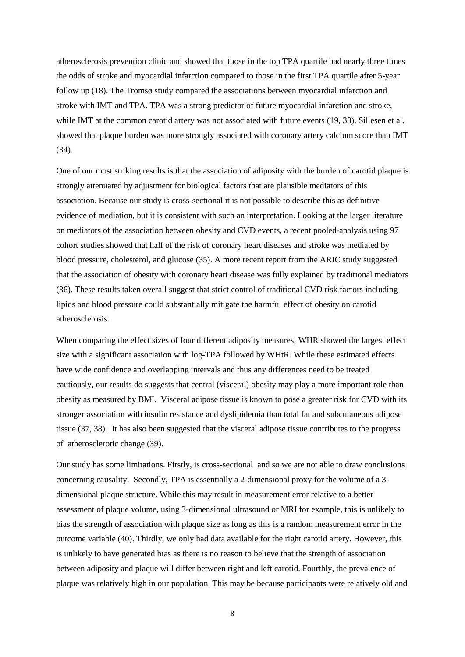atherosclerosis prevention clinic and showed that those in the top TPA quartile had nearly three times the odds of stroke and myocardial infarction compared to those in the first TPA quartile after 5-year follow up (18). The Tromsø study compared the associations between myocardial infarction and stroke with IMT and TPA. TPA was a strong predictor of future myocardial infarction and stroke, while IMT at the common carotid artery was not associated with future events (19, 33). Sillesen et al. showed that plaque burden was more strongly associated with coronary artery calcium score than IMT (34).

One of our most striking results is that the association of adiposity with the burden of carotid plaque is strongly attenuated by adjustment for biological factors that are plausible mediators of this association. Because our study is cross-sectional it is not possible to describe this as definitive evidence of mediation, but it is consistent with such an interpretation. Looking at the larger literature on mediators of the association between obesity and CVD events, a recent pooled-analysis using 97 cohort studies showed that half of the risk of coronary heart diseases and stroke was mediated by blood pressure, cholesterol, and glucose (35). A more recent report from the ARIC study suggested that the association of obesity with coronary heart disease was fully explained by traditional mediators (36). These results taken overall suggest that strict control of traditional CVD risk factors including lipids and blood pressure could substantially mitigate the harmful effect of obesity on carotid atherosclerosis.

When comparing the effect sizes of four different adiposity measures, WHR showed the largest effect size with a significant association with log-TPA followed by WHtR. While these estimated effects have wide confidence and overlapping intervals and thus any differences need to be treated cautiously, our results do suggests that central (visceral) obesity may play a more important role than obesity as measured by BMI. Visceral adipose tissue is known to pose a greater risk for CVD with its stronger association with insulin resistance and dyslipidemia than total fat and subcutaneous adipose tissue (37, 38). It has also been suggested that the visceral adipose tissue contributes to the progress of atherosclerotic change (39).

Our study has some limitations. Firstly, is cross-sectional and so we are not able to draw conclusions concerning causality. Secondly, TPA is essentially a 2-dimensional proxy for the volume of a 3 dimensional plaque structure. While this may result in measurement error relative to a better assessment of plaque volume, using 3-dimensional ultrasound or MRI for example, this is unlikely to bias the strength of association with plaque size as long as this is a random measurement error in the outcome variable (40). Thirdly, we only had data available for the right carotid artery. However, this is unlikely to have generated bias as there is no reason to believe that the strength of association between adiposity and plaque will differ between right and left carotid. Fourthly, the prevalence of plaque was relatively high in our population. This may be because participants were relatively old and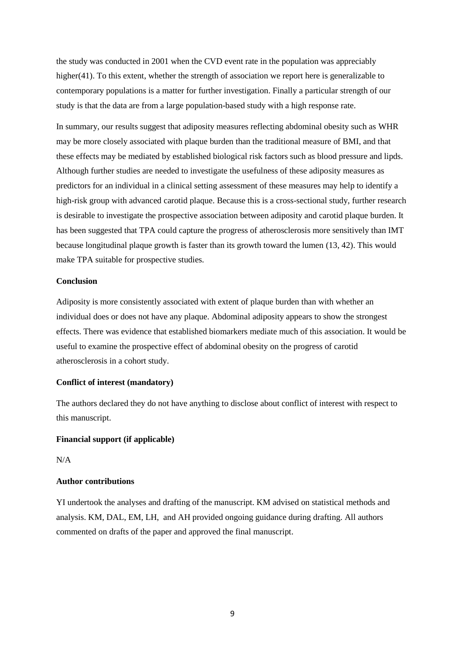the study was conducted in 2001 when the CVD event rate in the population was appreciably higher(41). To this extent, whether the strength of association we report here is generalizable to contemporary populations is a matter for further investigation. Finally a particular strength of our study is that the data are from a large population-based study with a high response rate.

In summary, our results suggest that adiposity measures reflecting abdominal obesity such as WHR may be more closely associated with plaque burden than the traditional measure of BMI, and that these effects may be mediated by established biological risk factors such as blood pressure and lipds. Although further studies are needed to investigate the usefulness of these adiposity measures as predictors for an individual in a clinical setting assessment of these measures may help to identify a high-risk group with advanced carotid plaque. Because this is a cross-sectional study, further research is desirable to investigate the prospective association between adiposity and carotid plaque burden. It has been suggested that TPA could capture the progress of atherosclerosis more sensitively than IMT because longitudinal plaque growth is faster than its growth toward the lumen (13, 42). This would make TPA suitable for prospective studies.

# **Conclusion**

Adiposity is more consistently associated with extent of plaque burden than with whether an individual does or does not have any plaque. Abdominal adiposity appears to show the strongest effects. There was evidence that established biomarkers mediate much of this association. It would be useful to examine the prospective effect of abdominal obesity on the progress of carotid atherosclerosis in a cohort study.

#### **Conflict of interest (mandatory)**

The authors declared they do not have anything to disclose about conflict of interest with respect to this manuscript.

## **Financial support (if applicable)**

 $N/A$ 

# **Author contributions**

YI undertook the analyses and drafting of the manuscript. KM advised on statistical methods and analysis. KM, DAL, EM, LH, and AH provided ongoing guidance during drafting. All authors commented on drafts of the paper and approved the final manuscript.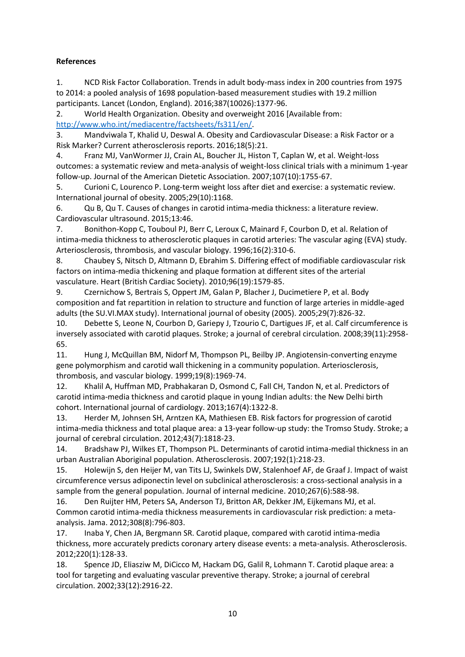# **References**

1. NCD Risk Factor Collaboration. Trends in adult body-mass index in 200 countries from 1975 to 2014: a pooled analysis of 1698 population-based measurement studies with 19.2 million participants. Lancet (London, England). 2016;387(10026):1377-96.

2. World Health Organization. Obesity and overweight 2016 [Available from: [http://www.who.int/mediacentre/factsheets/fs311/en/.](http://www.who.int/mediacentre/factsheets/fs311/en/)

3. Mandviwala T, Khalid U, Deswal A. Obesity and Cardiovascular Disease: a Risk Factor or a Risk Marker? Current atherosclerosis reports. 2016;18(5):21.

4. Franz MJ, VanWormer JJ, Crain AL, Boucher JL, Histon T, Caplan W, et al. Weight-loss outcomes: a systematic review and meta-analysis of weight-loss clinical trials with a minimum 1-year follow-up. Journal of the American Dietetic Association. 2007;107(10):1755-67.

5. Curioni C, Lourenco P. Long-term weight loss after diet and exercise: a systematic review. International journal of obesity. 2005;29(10):1168.

6. Qu B, Qu T. Causes of changes in carotid intima-media thickness: a literature review. Cardiovascular ultrasound. 2015;13:46.

7. Bonithon-Kopp C, Touboul PJ, Berr C, Leroux C, Mainard F, Courbon D, et al. Relation of intima-media thickness to atherosclerotic plaques in carotid arteries: The vascular aging (EVA) study. Arteriosclerosis, thrombosis, and vascular biology. 1996;16(2):310-6.

8. Chaubey S, Nitsch D, Altmann D, Ebrahim S. Differing effect of modifiable cardiovascular risk factors on intima-media thickening and plaque formation at different sites of the arterial vasculature. Heart (British Cardiac Society). 2010;96(19):1579-85.

9. Czernichow S, Bertrais S, Oppert JM, Galan P, Blacher J, Ducimetiere P, et al. Body composition and fat repartition in relation to structure and function of large arteries in middle-aged adults (the SU.VI.MAX study). International journal of obesity (2005). 2005;29(7):826-32.

10. Debette S, Leone N, Courbon D, Gariepy J, Tzourio C, Dartigues JF, et al. Calf circumference is inversely associated with carotid plaques. Stroke; a journal of cerebral circulation. 2008;39(11):2958- 65.

11. Hung J, McQuillan BM, Nidorf M, Thompson PL, Beilby JP. Angiotensin-converting enzyme gene polymorphism and carotid wall thickening in a community population. Arteriosclerosis, thrombosis, and vascular biology. 1999;19(8):1969-74.

12. Khalil A, Huffman MD, Prabhakaran D, Osmond C, Fall CH, Tandon N, et al. Predictors of carotid intima-media thickness and carotid plaque in young Indian adults: the New Delhi birth cohort. International journal of cardiology. 2013;167(4):1322-8.

13. Herder M, Johnsen SH, Arntzen KA, Mathiesen EB. Risk factors for progression of carotid intima-media thickness and total plaque area: a 13-year follow-up study: the Tromso Study. Stroke; a journal of cerebral circulation. 2012;43(7):1818-23.

14. Bradshaw PJ, Wilkes ET, Thompson PL. Determinants of carotid intima-medial thickness in an urban Australian Aboriginal population. Atherosclerosis. 2007;192(1):218-23.

15. Holewijn S, den Heijer M, van Tits LJ, Swinkels DW, Stalenhoef AF, de Graaf J. Impact of waist circumference versus adiponectin level on subclinical atherosclerosis: a cross-sectional analysis in a sample from the general population. Journal of internal medicine. 2010;267(6):588-98.

16. Den Ruijter HM, Peters SA, Anderson TJ, Britton AR, Dekker JM, Eijkemans MJ, et al. Common carotid intima-media thickness measurements in cardiovascular risk prediction: a metaanalysis. Jama. 2012;308(8):796-803.

17. Inaba Y, Chen JA, Bergmann SR. Carotid plaque, compared with carotid intima-media thickness, more accurately predicts coronary artery disease events: a meta-analysis. Atherosclerosis. 2012;220(1):128-33.

18. Spence JD, Eliasziw M, DiCicco M, Hackam DG, Galil R, Lohmann T. Carotid plaque area: a tool for targeting and evaluating vascular preventive therapy. Stroke; a journal of cerebral circulation. 2002;33(12):2916-22.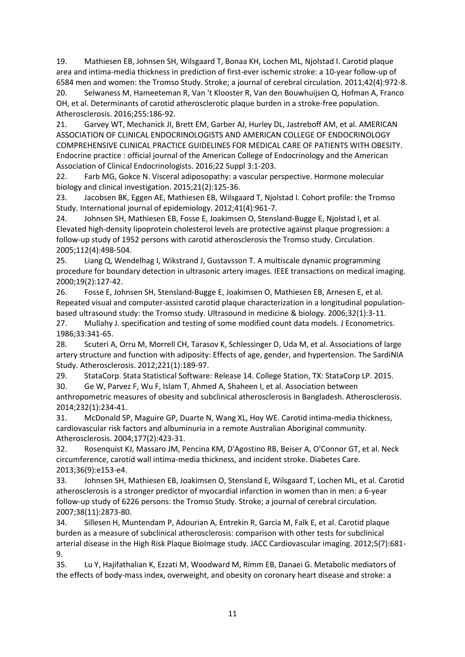19. Mathiesen EB, Johnsen SH, Wilsgaard T, Bonaa KH, Lochen ML, Njolstad I. Carotid plaque area and intima-media thickness in prediction of first-ever ischemic stroke: a 10-year follow-up of 6584 men and women: the Tromso Study. Stroke; a journal of cerebral circulation. 2011;42(4):972-8.

20. Selwaness M, Hameeteman R, Van 't Klooster R, Van den Bouwhuijsen Q, Hofman A, Franco OH, et al. Determinants of carotid atherosclerotic plaque burden in a stroke-free population. Atherosclerosis. 2016;255:186-92.

21. Garvey WT, Mechanick JI, Brett EM, Garber AJ, Hurley DL, Jastreboff AM, et al. AMERICAN ASSOCIATION OF CLINICAL ENDOCRINOLOGISTS AND AMERICAN COLLEGE OF ENDOCRINOLOGY COMPREHENSIVE CLINICAL PRACTICE GUIDELINES FOR MEDICAL CARE OF PATIENTS WITH OBESITY. Endocrine practice : official journal of the American College of Endocrinology and the American Association of Clinical Endocrinologists. 2016;22 Suppl 3:1-203.

22. Farb MG, Gokce N. Visceral adiposopathy: a vascular perspective. Hormone molecular biology and clinical investigation. 2015;21(2):125-36.

23. Jacobsen BK, Eggen AE, Mathiesen EB, Wilsgaard T, Njolstad I. Cohort profile: the Tromso Study. International journal of epidemiology. 2012;41(4):961-7.

24. Johnsen SH, Mathiesen EB, Fosse E, Joakimsen O, Stensland-Bugge E, Njolstad I, et al. Elevated high-density lipoprotein cholesterol levels are protective against plaque progression: a follow-up study of 1952 persons with carotid atherosclerosis the Tromso study. Circulation. 2005;112(4):498-504.

25. Liang Q, Wendelhag I, Wikstrand J, Gustavsson T. A multiscale dynamic programming procedure for boundary detection in ultrasonic artery images. IEEE transactions on medical imaging. 2000;19(2):127-42.

26. Fosse E, Johnsen SH, Stensland-Bugge E, Joakimsen O, Mathiesen EB, Arnesen E, et al. Repeated visual and computer-assisted carotid plaque characterization in a longitudinal populationbased ultrasound study: the Tromso study. Ultrasound in medicine & biology. 2006;32(1):3-11.

27. Mullahy J. specification and testing of some modified count data models. J Econometrics. 1986;33:341-65.

28. Scuteri A, Orru M, Morrell CH, Tarasov K, Schlessinger D, Uda M, et al. Associations of large artery structure and function with adiposity: Effects of age, gender, and hypertension. The SardiNIA Study. Atherosclerosis. 2012;221(1):189-97.

29. StataCorp. Stata Statistical Software: Release 14. College Station, TX: StataCorp LP. 2015. 30. Ge W, Parvez F, Wu F, Islam T, Ahmed A, Shaheen I, et al. Association between anthropometric measures of obesity and subclinical atherosclerosis in Bangladesh. Atherosclerosis. 2014;232(1):234-41.

31. McDonald SP, Maguire GP, Duarte N, Wang XL, Hoy WE. Carotid intima-media thickness, cardiovascular risk factors and albuminuria in a remote Australian Aboriginal community. Atherosclerosis. 2004;177(2):423-31.

32. Rosenquist KJ, Massaro JM, Pencina KM, D'Agostino RB, Beiser A, O'Connor GT, et al. Neck circumference, carotid wall intima-media thickness, and incident stroke. Diabetes Care. 2013;36(9):e153-e4.

33. Johnsen SH, Mathiesen EB, Joakimsen O, Stensland E, Wilsgaard T, Lochen ML, et al. Carotid atherosclerosis is a stronger predictor of myocardial infarction in women than in men: a 6-year follow-up study of 6226 persons: the Tromso Study. Stroke; a journal of cerebral circulation. 2007;38(11):2873-80.

34. Sillesen H, Muntendam P, Adourian A, Entrekin R, Garcia M, Falk E, et al. Carotid plaque burden as a measure of subclinical atherosclerosis: comparison with other tests for subclinical arterial disease in the High Risk Plaque BioImage study. JACC Cardiovascular imaging. 2012;5(7):681- 9.

35. Lu Y, Hajifathalian K, Ezzati M, Woodward M, Rimm EB, Danaei G. Metabolic mediators of the effects of body-mass index, overweight, and obesity on coronary heart disease and stroke: a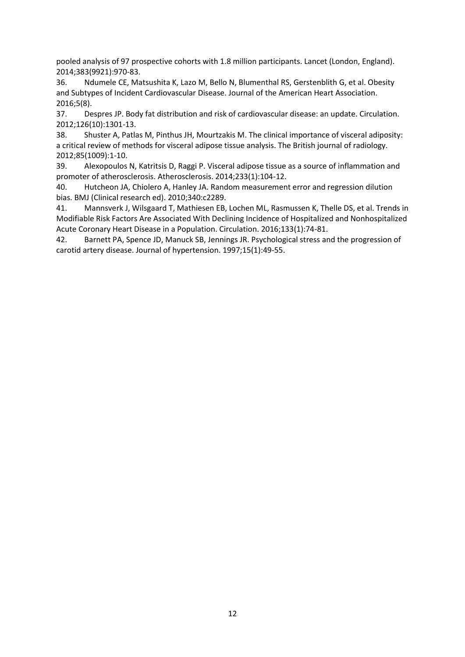pooled analysis of 97 prospective cohorts with 1.8 million participants. Lancet (London, England). 2014;383(9921):970-83.

36. Ndumele CE, Matsushita K, Lazo M, Bello N, Blumenthal RS, Gerstenblith G, et al. Obesity and Subtypes of Incident Cardiovascular Disease. Journal of the American Heart Association. 2016;5(8).

37. Despres JP. Body fat distribution and risk of cardiovascular disease: an update. Circulation. 2012;126(10):1301-13.

38. Shuster A, Patlas M, Pinthus JH, Mourtzakis M. The clinical importance of visceral adiposity: a critical review of methods for visceral adipose tissue analysis. The British journal of radiology. 2012;85(1009):1-10.

39. Alexopoulos N, Katritsis D, Raggi P. Visceral adipose tissue as a source of inflammation and promoter of atherosclerosis. Atherosclerosis. 2014;233(1):104-12.

40. Hutcheon JA, Chiolero A, Hanley JA. Random measurement error and regression dilution bias. BMJ (Clinical research ed). 2010;340:c2289.

41. Mannsverk J, Wilsgaard T, Mathiesen EB, Lochen ML, Rasmussen K, Thelle DS, et al. Trends in Modifiable Risk Factors Are Associated With Declining Incidence of Hospitalized and Nonhospitalized Acute Coronary Heart Disease in a Population. Circulation. 2016;133(1):74-81.

42. Barnett PA, Spence JD, Manuck SB, Jennings JR. Psychological stress and the progression of carotid artery disease. Journal of hypertension. 1997;15(1):49-55.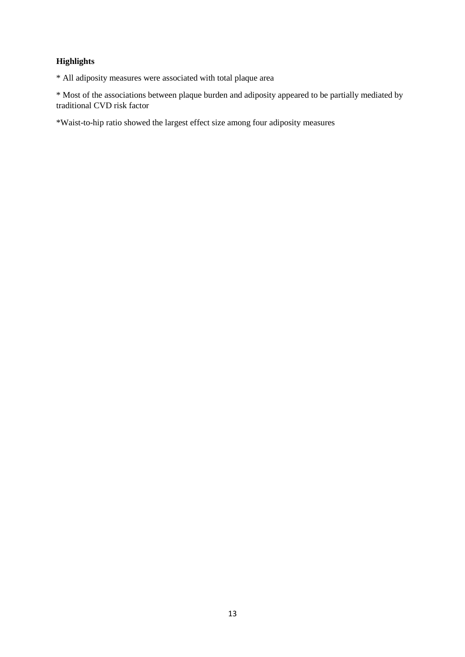# **Highlights**

\* All adiposity measures were associated with total plaque area

\* Most of the associations between plaque burden and adiposity appeared to be partially mediated by traditional CVD risk factor

\*Waist-to-hip ratio showed the largest effect size among four adiposity measures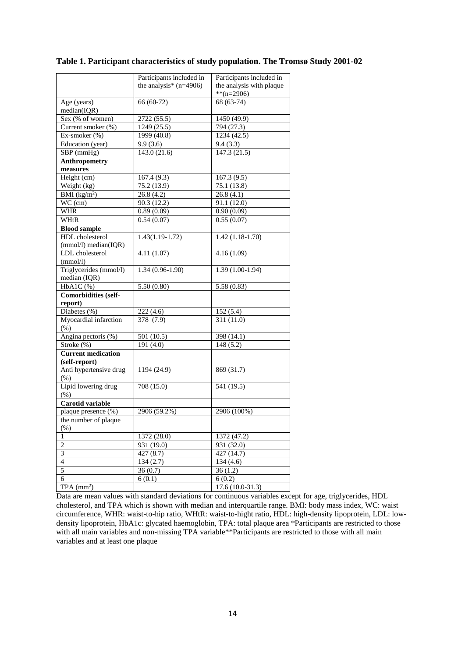|                           | Participants included in | Participants included in |
|---------------------------|--------------------------|--------------------------|
|                           | the analysis* $(n=4906)$ | the analysis with plaque |
|                           |                          | $*$ (n=2906)             |
| Age (years)               | 66 (60-72)               | 68 (63-74)               |
| median(IQR)               |                          |                          |
| Sex (% of women)          | 2722 (55.5)              | 1450 (49.9)              |
| Current smoker (%)        | 1249 (25.5)              | 794 (27.3)               |
| Ex-smoker (%)             | 1999 (40.8)              | 1234 (42.5)              |
| Education (year)          | 9.9(3.6)                 | 9.4(3.3)                 |
| SBP (mmHg)                | 143.0 (21.6)             | 147.3 (21.5)             |
| <b>Anthropometry</b>      |                          |                          |
| measures                  |                          |                          |
| Height (cm)               | 167.4 (9.3)              | 167.3(9.5)               |
| Weight (kg)               | 75.2(13.9)               | 75.1 (13.8)              |
| BMI $(kg/m^2)$            | 26.8 (4.2)               | 26.8 (4.1)               |
| WC (cm)                   | 90.3 (12.2)              | 91.1 (12.0)              |
| WHR                       | 0.89(0.09)               | 0.90(0.09)               |
| WHtR                      | 0.54(0.07)               | 0.55(0.07)               |
| <b>Blood sample</b>       |                          |                          |
| <b>HDL</b> cholesterol    | $1.43(1.19-1.72)$        | $1.42(1.18-1.70)$        |
| (mmol/l) median(IQR)      |                          |                          |
| LDL cholesterol           | 4.11(1.07)               | 4.16(1.09)               |
| (mmol/l)                  |                          |                          |
| Triglycerides (mmol/l)    | $1.34(0.96-1.90)$        | $1.39(1.00-1.94)$        |
| median (IQR)              |                          |                          |
| HbA1C(%)                  | 5.50(0.80)               | 5.58(0.83)               |
| Comorbidities (self-      |                          |                          |
| report)                   |                          |                          |
| Diabetes (%)              | 222(4.6)                 | 152(5.4)                 |
| Myocardial infarction     | 378(7.9)                 | 311 (11.0)               |
| (% )                      |                          |                          |
| Angina pectoris (%)       | 501 (10.5)               | 398 (14.1)               |
| Stroke (%)                | 191(4.0)                 | 148(5.2)                 |
| <b>Current medication</b> |                          |                          |
| (self-report)             |                          |                          |
| Anti hypertensive drug    | 1194 (24.9)              | 869 (31.7)               |
| $(\% )$                   |                          |                          |
| Lipid lowering drug       | 708(15.0)                | $\overline{541(19.5)}$   |
| $(\% )$                   |                          |                          |
| Carotid variable          |                          |                          |
| plaque presence (%)       | 2906 (59.2%)             | 2906 (100%)              |
| the number of plaque      |                          |                          |
| $(\% )$                   |                          |                          |
| 1                         | 1372 (28.0)              | 1372 (47.2)              |
| $\overline{2}$            | 931 (19.0)               | 931 (32.0)               |
| $\sqrt{3}$                | 427(8.7)                 | 427 (14.7)               |
| $\overline{4}$            | 134(2.7)                 | 134 (4.6)                |
| 5                         | 36(0.7)                  | 36(1.2)                  |
| $\overline{6}$            | 6(0.1)                   | $\overline{6}$ (0.2)     |
| $TPA$ (mm <sup>2</sup> )  |                          | $17.6(10.0-31.3)$        |
|                           |                          |                          |

## **Table 1. Participant characteristics of study population. The Tromsø Study 2001-02**

Data are mean values with standard deviations for continuous variables except for age, triglycerides, HDL cholesterol, and TPA which is shown with median and interquartile range. BMI: body mass index, WC: waist circumference, WHR: waist-to-hip ratio, WHtR: waist-to-hight ratio, HDL: high-density lipoprotein, LDL: lowdensity lipoprotein, HbA1c: glycated haemoglobin, TPA: total plaque area \*Participants are restricted to those with all main variables and non-missing TPA variable\*\*Participants are restricted to those with all main variables and at least one plaque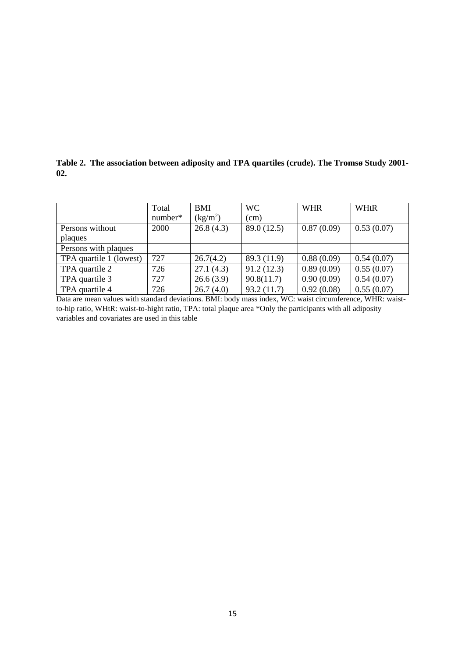**Table 2. The association between adiposity and TPA quartiles (crude). The Tromsø Study 2001- 02.**

|                         | Total   | <b>BMI</b>           | <b>WC</b>   | <b>WHR</b> | WHtR       |
|-------------------------|---------|----------------------|-------------|------------|------------|
|                         | number* | (kg/m <sup>2</sup> ) | (cm)        |            |            |
| Persons without         | 2000    | 26.8(4.3)            | 89.0 (12.5) | 0.87(0.09) | 0.53(0.07) |
| plaques                 |         |                      |             |            |            |
| Persons with plaques    |         |                      |             |            |            |
| TPA quartile 1 (lowest) | 727     | 26.7(4.2)            | 89.3 (11.9) | 0.88(0.09) | 0.54(0.07) |
| TPA quartile 2          | 726     | 27.1(4.3)            | 91.2(12.3)  | 0.89(0.09) | 0.55(0.07) |
| TPA quartile 3          | 727     | 26.6(3.9)            | 90.8(11.7)  | 0.90(0.09) | 0.54(0.07) |
| TPA quartile 4          | 726     | 26.7(4.0)            | 93.2(11.7)  | 0.92(0.08) | 0.55(0.07) |

Data are mean values with standard deviations. BMI: body mass index, WC: waist circumference, WHR: waistto-hip ratio, WHtR: waist-to-hight ratio, TPA: total plaque area \*Only the participants with all adiposity variables and covariates are used in this table